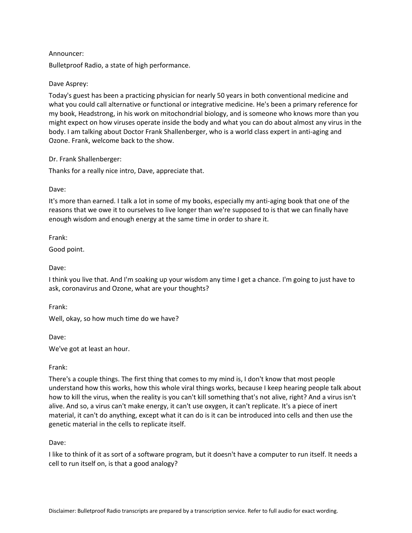## Announcer:

Bulletproof Radio, a state of high performance.

### Dave Asprey:

Today's guest has been a practicing physician for nearly 50 years in both conventional medicine and what you could call alternative or functional or integrative medicine. He's been a primary reference for my book, Headstrong, in his work on mitochondrial biology, and is someone who knows more than you might expect on how viruses operate inside the body and what you can do about almost any virus in the body. I am talking about Doctor Frank Shallenberger, who is a world class expert in anti-aging and Ozone. Frank, welcome back to the show.

Dr. Frank Shallenberger:

Thanks for a really nice intro, Dave, appreciate that.

Dave:

It's more than earned. I talk a lot in some of my books, especially my anti-aging book that one of the reasons that we owe it to ourselves to live longer than we're supposed to is that we can finally have enough wisdom and enough energy at the same time in order to share it.

Frank:

Good point.

Dave:

I think you live that. And I'm soaking up your wisdom any time I get a chance. I'm going to just have to ask, coronavirus and Ozone, what are your thoughts?

Frank:

Well, okay, so how much time do we have?

Dave:

We've got at least an hour.

### Frank:

There's a couple things. The first thing that comes to my mind is, I don't know that most people understand how this works, how this whole viral things works, because I keep hearing people talk about how to kill the virus, when the reality is you can't kill something that's not alive, right? And a virus isn't alive. And so, a virus can't make energy, it can't use oxygen, it can't replicate. It's a piece of inert material, it can't do anything, except what it can do is it can be introduced into cells and then use the genetic material in the cells to replicate itself.

Dave:

I like to think of it as sort of a software program, but it doesn't have a computer to run itself. It needs a cell to run itself on, is that a good analogy?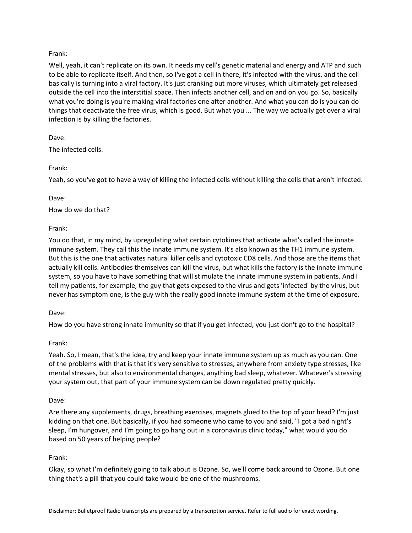# Frank:

Well, yeah, it can't replicate on its own. It needs my cell's genetic material and energy and ATP and such to be able to replicate itself. And then, so I've got a cell in there, it's infected with the virus, and the cell basically is turning into a viral factory. It's just cranking out more viruses, which ultimately get released outside the cell into the interstitial space. Then infects another cell, and on and on you go. So, basically what you're doing is you're making viral factories one after another. And what you can do is you can do things that deactivate the free virus, which is good. But what you ... The way we actually get over a viral infection is by killing the factories.

# Dave:

The infected cells.

# Frank:

Yeah, so you've got to have a way of killing the infected cells without killing the cells that aren't infected.

# Dave:

How do we do that?

# Frank:

You do that, in my mind, by upregulating what certain cytokines that activate what's called the innate immune system. They call this the innate immune system. It's also known as the TH1 immune system. But this is the one that activates natural killer cells and cytotoxic CD8 cells. And those are the items that actually kill cells. Antibodies themselves can kill the virus, but what kills the factory is the innate immune system, so you have to have something that will stimulate the innate immune system in patients. And I tell my patients, for example, the guy that gets exposed to the virus and gets 'infected' by the virus, but never has symptom one, is the guy with the really good innate immune system at the time of exposure.

# Dave:

How do you have strong innate immunity so that if you get infected, you just don't go to the hospital?

# Frank:

Yeah. So, I mean, that's the idea, try and keep your innate immune system up as much as you can. One of the problems with that is that it's very sensitive to stresses, anywhere from anxiety type stresses, like mental stresses, but also to environmental changes, anything bad sleep, whatever. Whatever's stressing your system out, that part of your immune system can be down regulated pretty quickly.

# Dave:

Are there any supplements, drugs, breathing exercises, magnets glued to the top of your head? I'm just kidding on that one. But basically, if you had someone who came to you and said, "I got a bad night's sleep, I'm hungover, and I'm going to go hang out in a coronavirus clinic today," what would you do based on 50 years of helping people?

# Frank:

Okay, so what I'm definitely going to talk about is Ozone. So, we'll come back around to Ozone. But one thing that's a pill that you could take would be one of the mushrooms.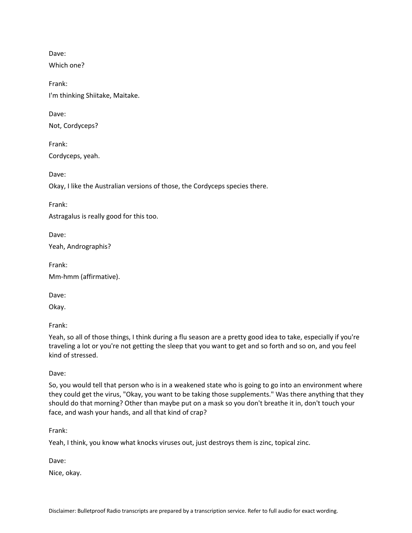Which one?

Frank: I'm thinking Shiitake, Maitake.

Dave:

Not, Cordyceps?

Frank:

Cordyceps, yeah.

Dave:

Okay, I like the Australian versions of those, the Cordyceps species there.

Frank:

Astragalus is really good for this too.

Dave: Yeah, Andrographis?

Frank: Mm-hmm (affirmative).

Dave:

Okay.

Frank:

Yeah, so all of those things, I think during a flu season are a pretty good idea to take, especially if you're traveling a lot or you're not getting the sleep that you want to get and so forth and so on, and you feel kind of stressed.

Dave:

So, you would tell that person who is in a weakened state who is going to go into an environment where they could get the virus, "Okay, you want to be taking those supplements." Was there anything that they should do that morning? Other than maybe put on a mask so you don't breathe it in, don't touch your face, and wash your hands, and all that kind of crap?

Frank:

Yeah, I think, you know what knocks viruses out, just destroys them is zinc, topical zinc.

Dave:

Nice, okay.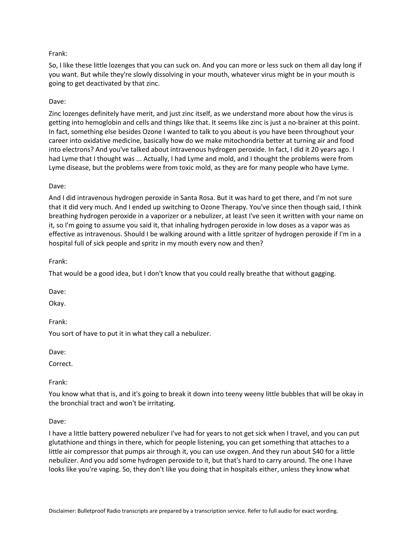# Frank:

So, I like these little lozenges that you can suck on. And you can more or less suck on them all day long if you want. But while they're slowly dissolving in your mouth, whatever virus might be in your mouth is going to get deactivated by that zinc.

# Dave:

Zinc lozenges definitely have merit, and just zinc itself, as we understand more about how the virus is getting into hemoglobin and cells and things like that. It seems like zinc is just a no-brainer at this point. In fact, something else besides Ozone I wanted to talk to you about is you have been throughout your career into oxidative medicine, basically how do we make mitochondria better at turning air and food into electrons? And you've talked about intravenous hydrogen peroxide. In fact, I did it 20 years ago. I had Lyme that I thought was ... Actually, I had Lyme and mold, and I thought the problems were from Lyme disease, but the problems were from toxic mold, as they are for many people who have Lyme.

# Dave:

And I did intravenous hydrogen peroxide in Santa Rosa. But it was hard to get there, and I'm not sure that it did very much. And I ended up switching to Ozone Therapy. You've since then though said, I think breathing hydrogen peroxide in a vaporizer or a nebulizer, at least I've seen it written with your name on it, so I'm going to assume you said it, that inhaling hydrogen peroxide in low doses as a vapor was as effective as intravenous. Should I be walking around with a little spritzer of hydrogen peroxide if I'm in a hospital full of sick people and spritz in my mouth every now and then?

Frank:

That would be a good idea, but I don't know that you could really breathe that without gagging.

Dave:

Okay.

Frank:

You sort of have to put it in what they call a nebulizer.

Dave:

Correct.

Frank:

You know what that is, and it's going to break it down into teeny weeny little bubbles that will be okay in the bronchial tract and won't be irritating.

### Dave:

I have a little battery powered nebulizer I've had for years to not get sick when I travel, and you can put glutathione and things in there, which for people listening, you can get something that attaches to a little air compressor that pumps air through it, you can use oxygen. And they run about \$40 for a little nebulizer. And you add some hydrogen peroxide to it, but that's hard to carry around. The one I have looks like you're vaping. So, they don't like you doing that in hospitals either, unless they know what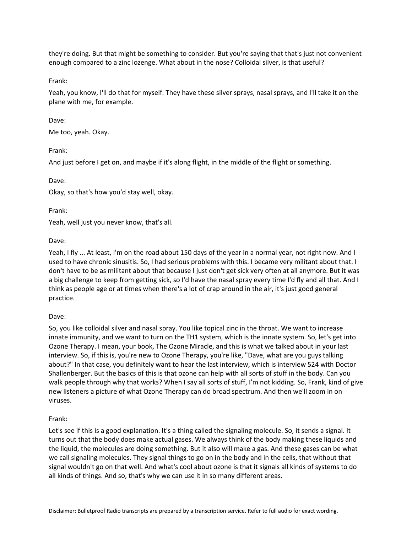they're doing. But that might be something to consider. But you're saying that that's just not convenient enough compared to a zinc lozenge. What about in the nose? Colloidal silver, is that useful?

Frank:

Yeah, you know, I'll do that for myself. They have these silver sprays, nasal sprays, and I'll take it on the plane with me, for example.

### Dave:

Me too, yeah. Okay.

Frank:

And just before I get on, and maybe if it's along flight, in the middle of the flight or something.

Dave:

Okay, so that's how you'd stay well, okay.

Frank:

Yeah, well just you never know, that's all.

Dave:

Yeah, I fly ... At least, I'm on the road about 150 days of the year in a normal year, not right now. And I used to have chronic sinusitis. So, I had serious problems with this. I became very militant about that. I don't have to be as militant about that because I just don't get sick very often at all anymore. But it was a big challenge to keep from getting sick, so I'd have the nasal spray every time I'd fly and all that. And I think as people age or at times when there's a lot of crap around in the air, it's just good general practice.

#### Dave:

So, you like colloidal silver and nasal spray. You like topical zinc in the throat. We want to increase innate immunity, and we want to turn on the TH1 system, which is the innate system. So, let's get into Ozone Therapy. I mean, your book, The Ozone Miracle, and this is what we talked about in your last interview. So, if this is, you're new to Ozone Therapy, you're like, "Dave, what are you guys talking about?" In that case, you definitely want to hear the last interview, which is interview 524 with Doctor Shallenberger. But the basics of this is that ozone can help with all sorts of stuff in the body. Can you walk people through why that works? When I say all sorts of stuff, I'm not kidding. So, Frank, kind of give new listeners a picture of what Ozone Therapy can do broad spectrum. And then we'll zoom in on viruses.

### Frank:

Let's see if this is a good explanation. It's a thing called the signaling molecule. So, it sends a signal. It turns out that the body does make actual gases. We always think of the body making these liquids and the liquid, the molecules are doing something. But it also will make a gas. And these gases can be what we call signaling molecules. They signal things to go on in the body and in the cells, that without that signal wouldn't go on that well. And what's cool about ozone is that it signals all kinds of systems to do all kinds of things. And so, that's why we can use it in so many different areas.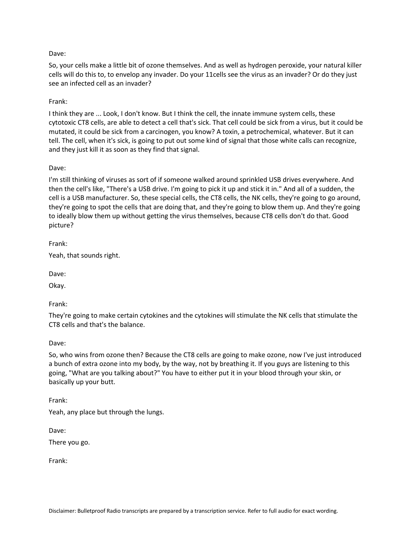So, your cells make a little bit of ozone themselves. And as well as hydrogen peroxide, your natural killer cells will do this to, to envelop any invader. Do your 11cells see the virus as an invader? Or do they just see an infected cell as an invader?

### Frank:

I think they are ... Look, I don't know. But I think the cell, the innate immune system cells, these cytotoxic CT8 cells, are able to detect a cell that's sick. That cell could be sick from a virus, but it could be mutated, it could be sick from a carcinogen, you know? A toxin, a petrochemical, whatever. But it can tell. The cell, when it's sick, is going to put out some kind of signal that those white calls can recognize, and they just kill it as soon as they find that signal.

### Dave:

I'm still thinking of viruses as sort of if someone walked around sprinkled USB drives everywhere. And then the cell's like, "There's a USB drive. I'm going to pick it up and stick it in." And all of a sudden, the cell is a USB manufacturer. So, these special cells, the CT8 cells, the NK cells, they're going to go around, they're going to spot the cells that are doing that, and they're going to blow them up. And they're going to ideally blow them up without getting the virus themselves, because CT8 cells don't do that. Good picture?

Frank:

Yeah, that sounds right.

Dave:

Okay.

Frank:

They're going to make certain cytokines and the cytokines will stimulate the NK cells that stimulate the CT8 cells and that's the balance.

### Dave:

So, who wins from ozone then? Because the CT8 cells are going to make ozone, now I've just introduced a bunch of extra ozone into my body, by the way, not by breathing it. If you guys are listening to this going, "What are you talking about?" You have to either put it in your blood through your skin, or basically up your butt.

Frank:

Yeah, any place but through the lungs.

Dave:

There you go.

Frank: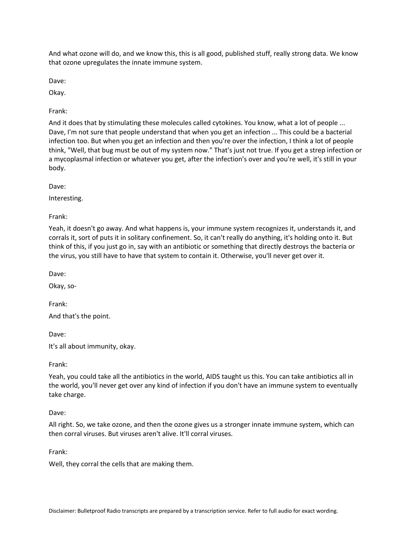And what ozone will do, and we know this, this is all good, published stuff, really strong data. We know that ozone upregulates the innate immune system.

Dave:

Okay.

Frank:

And it does that by stimulating these molecules called cytokines. You know, what a lot of people ... Dave, I'm not sure that people understand that when you get an infection ... This could be a bacterial infection too. But when you get an infection and then you're over the infection, I think a lot of people think, "Well, that bug must be out of my system now." That's just not true. If you get a strep infection or a mycoplasmal infection or whatever you get, after the infection's over and you're well, it's still in your body.

Dave:

Interesting.

Frank:

Yeah, it doesn't go away. And what happens is, your immune system recognizes it, understands it, and corrals it, sort of puts it in solitary confinement. So, it can't really do anything, it's holding onto it. But think of this, if you just go in, say with an antibiotic or something that directly destroys the bacteria or the virus, you still have to have that system to contain it. Otherwise, you'll never get over it.

Dave:

Okay, so-

Frank:

And that's the point.

Dave:

It's all about immunity, okay.

Frank:

Yeah, you could take all the antibiotics in the world, AIDS taught us this. You can take antibiotics all in the world, you'll never get over any kind of infection if you don't have an immune system to eventually take charge.

Dave:

All right. So, we take ozone, and then the ozone gives us a stronger innate immune system, which can then corral viruses. But viruses aren't alive. It'll corral viruses.

Frank:

Well, they corral the cells that are making them.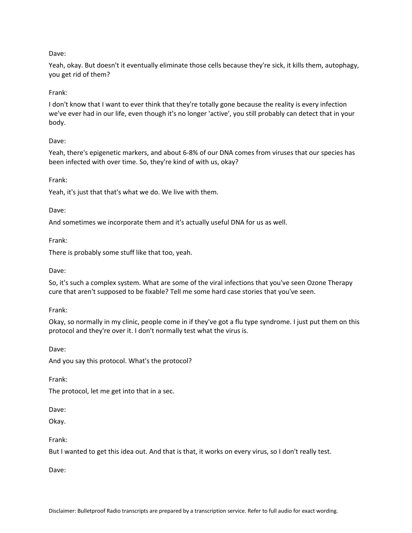Yeah, okay. But doesn't it eventually eliminate those cells because they're sick, it kills them, autophagy, you get rid of them?

### Frank:

I don't know that I want to ever think that they're totally gone because the reality is every infection we've ever had in our life, even though it's no longer 'active', you still probably can detect that in your body.

### Dave:

Yeah, there's epigenetic markers, and about 6-8% of our DNA comes from viruses that our species has been infected with over time. So, they're kind of with us, okay?

Frank:

Yeah, it's just that that's what we do. We live with them.

Dave:

And sometimes we incorporate them and it's actually useful DNA for us as well.

Frank:

There is probably some stuff like that too, yeah.

Dave:

So, it's such a complex system. What are some of the viral infections that you've seen Ozone Therapy cure that aren't supposed to be fixable? Tell me some hard case stories that you've seen.

Frank:

Okay, so normally in my clinic, people come in if they've got a flu type syndrome. I just put them on this protocol and they're over it. I don't normally test what the virus is.

Dave: And you say this protocol. What's the protocol?

Frank:

The protocol, let me get into that in a sec.

Dave:

Okay.

Frank:

But I wanted to get this idea out. And that is that, it works on every virus, so I don't really test.

Dave: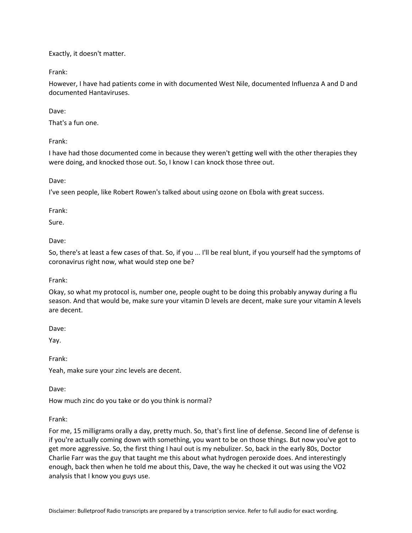Exactly, it doesn't matter.

Frank:

However, I have had patients come in with documented West Nile, documented Influenza A and D and documented Hantaviruses.

Dave:

That's a fun one.

Frank:

I have had those documented come in because they weren't getting well with the other therapies they were doing, and knocked those out. So, I know I can knock those three out.

Dave:

I've seen people, like Robert Rowen's talked about using ozone on Ebola with great success.

Frank:

Sure.

Dave:

So, there's at least a few cases of that. So, if you ... I'll be real blunt, if you yourself had the symptoms of coronavirus right now, what would step one be?

Frank:

Okay, so what my protocol is, number one, people ought to be doing this probably anyway during a flu season. And that would be, make sure your vitamin D levels are decent, make sure your vitamin A levels are decent.

Dave:

Yay.

Frank:

Yeah, make sure your zinc levels are decent.

Dave:

How much zinc do you take or do you think is normal?

Frank:

For me, 15 milligrams orally a day, pretty much. So, that's first line of defense. Second line of defense is if you're actually coming down with something, you want to be on those things. But now you've got to get more aggressive. So, the first thing I haul out is my nebulizer. So, back in the early 80s, Doctor Charlie Farr was the guy that taught me this about what hydrogen peroxide does. And interestingly enough, back then when he told me about this, Dave, the way he checked it out was using the VO2 analysis that I know you guys use.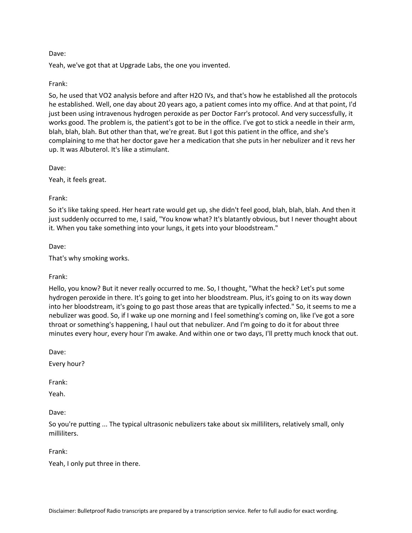Yeah, we've got that at Upgrade Labs, the one you invented.

### Frank:

So, he used that VO2 analysis before and after H2O IVs, and that's how he established all the protocols he established. Well, one day about 20 years ago, a patient comes into my office. And at that point, I'd just been using intravenous hydrogen peroxide as per Doctor Farr's protocol. And very successfully, it works good. The problem is, the patient's got to be in the office. I've got to stick a needle in their arm, blah, blah, blah. But other than that, we're great. But I got this patient in the office, and she's complaining to me that her doctor gave her a medication that she puts in her nebulizer and it revs her up. It was Albuterol. It's like a stimulant.

Dave:

Yeah, it feels great.

### Frank:

So it's like taking speed. Her heart rate would get up, she didn't feel good, blah, blah, blah. And then it just suddenly occurred to me, I said, "You know what? It's blatantly obvious, but I never thought about it. When you take something into your lungs, it gets into your bloodstream."

Dave:

That's why smoking works.

### Frank:

Hello, you know? But it never really occurred to me. So, I thought, "What the heck? Let's put some hydrogen peroxide in there. It's going to get into her bloodstream. Plus, it's going to on its way down into her bloodstream, it's going to go past those areas that are typically infected." So, it seems to me a nebulizer was good. So, if I wake up one morning and I feel something's coming on, like I've got a sore throat or something's happening, I haul out that nebulizer. And I'm going to do it for about three minutes every hour, every hour I'm awake. And within one or two days, I'll pretty much knock that out.

Dave:

Every hour?

Frank:

Yeah.

Dave:

So you're putting ... The typical ultrasonic nebulizers take about six milliliters, relatively small, only milliliters.

Frank:

Yeah, I only put three in there.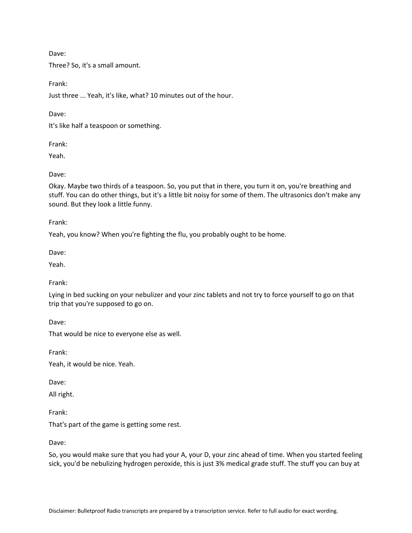Three? So, it's a small amount.

Frank:

Just three ... Yeah, it's like, what? 10 minutes out of the hour.

Dave:

It's like half a teaspoon or something.

Frank:

Yeah.

Dave:

Okay. Maybe two thirds of a teaspoon. So, you put that in there, you turn it on, you're breathing and stuff. You can do other things, but it's a little bit noisy for some of them. The ultrasonics don't make any sound. But they look a little funny.

Frank:

Yeah, you know? When you're fighting the flu, you probably ought to be home.

Dave:

Yeah.

Frank:

Lying in bed sucking on your nebulizer and your zinc tablets and not try to force yourself to go on that trip that you're supposed to go on.

Dave:

That would be nice to everyone else as well.

Frank:

Yeah, it would be nice. Yeah.

Dave:

All right.

Frank:

That's part of the game is getting some rest.

Dave:

So, you would make sure that you had your A, your D, your zinc ahead of time. When you started feeling sick, you'd be nebulizing hydrogen peroxide, this is just 3% medical grade stuff. The stuff you can buy at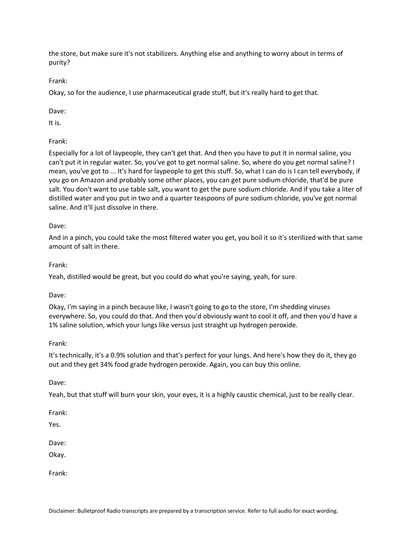the store, but make sure it's not stabilizers. Anything else and anything to worry about in terms of purity?

Frank:

Okay, so for the audience, I use pharmaceutical grade stuff, but it's really hard to get that.

Dave:

It is.

Frank:

Especially for a lot of laypeople, they can't get that. And then you have to put it in normal saline, you can't put it in regular water. So, you've got to get normal saline. So, where do you get normal saline? I mean, you've got to ... It's hard for laypeople to get this stuff. So, what I can do is I can tell everybody, if you go on Amazon and probably some other places, you can get pure sodium chloride, that'd be pure salt. You don't want to use table salt, you want to get the pure sodium chloride. And if you take a liter of distilled water and you put in two and a quarter teaspoons of pure sodium chloride, you've got normal saline. And it'll just dissolve in there.

# Dave:

And in a pinch, you could take the most filtered water you get, you boil it so it's sterilized with that same amount of salt in there.

Frank:

Yeah, distilled would be great, but you could do what you're saying, yeah, for sure.

Dave:

Okay, I'm saying in a pinch because like, I wasn't going to go to the store, I'm shedding viruses everywhere. So, you could do that. And then you'd obviously want to cool it off, and then you'd have a 1% saline solution, which your lungs like versus just straight up hydrogen peroxide.

# Frank:

It's technically, it's a 0.9% solution and that's perfect for your lungs. And here's how they do it, they go out and they get 34% food grade hydrogen peroxide. Again, you can buy this online.

Dave:

Yeah, but that stuff will burn your skin, your eyes, it is a highly caustic chemical, just to be really clear.

Frank:

Yes.

Dave:

Okay.

Frank: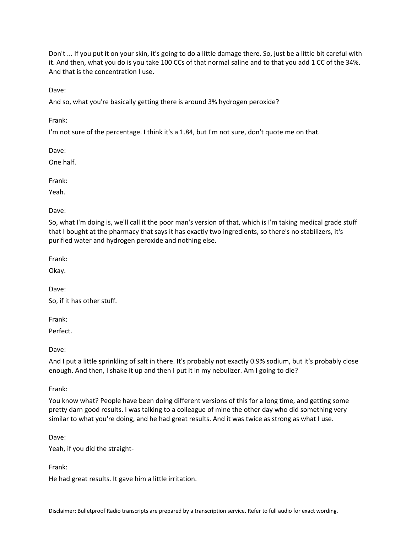Don't ... If you put it on your skin, it's going to do a little damage there. So, just be a little bit careful with it. And then, what you do is you take 100 CCs of that normal saline and to that you add 1 CC of the 34%. And that is the concentration I use.

Dave:

And so, what you're basically getting there is around 3% hydrogen peroxide?

Frank:

I'm not sure of the percentage. I think it's a 1.84, but I'm not sure, don't quote me on that.

Dave:

One half.

Frank:

Yeah.

Dave:

So, what I'm doing is, we'll call it the poor man's version of that, which is I'm taking medical grade stuff that I bought at the pharmacy that says it has exactly two ingredients, so there's no stabilizers, it's purified water and hydrogen peroxide and nothing else.

Frank:

Okay.

Dave:

So, if it has other stuff.

Frank:

Perfect.

Dave:

And I put a little sprinkling of salt in there. It's probably not exactly 0.9% sodium, but it's probably close enough. And then, I shake it up and then I put it in my nebulizer. Am I going to die?

Frank:

You know what? People have been doing different versions of this for a long time, and getting some pretty darn good results. I was talking to a colleague of mine the other day who did something very similar to what you're doing, and he had great results. And it was twice as strong as what I use.

Dave:

Yeah, if you did the straight-

Frank:

He had great results. It gave him a little irritation.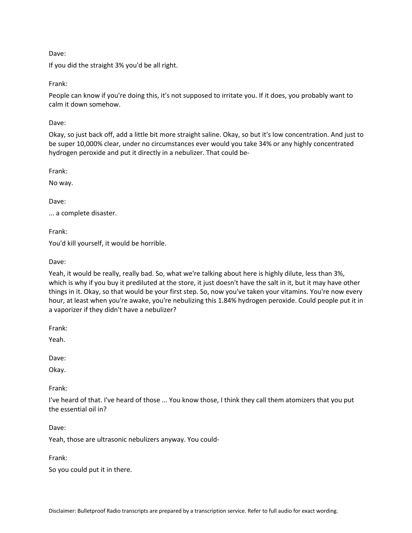If you did the straight 3% you'd be all right.

Frank:

People can know if you're doing this, it's not supposed to irritate you. If it does, you probably want to calm it down somehow.

Dave:

Okay, so just back off, add a little bit more straight saline. Okay, so but it's low concentration. And just to be super 10,000% clear, under no circumstances ever would you take 34% or any highly concentrated hydrogen peroxide and put it directly in a nebulizer. That could be-

Frank:

No way.

Dave:

... a complete disaster.

Frank:

You'd kill yourself, it would be horrible.

Dave:

Yeah, it would be really, really bad. So, what we're talking about here is highly dilute, less than 3%, which is why if you buy it prediluted at the store, it just doesn't have the salt in it, but it may have other things in it. Okay, so that would be your first step. So, now you've taken your vitamins. You're now every hour, at least when you're awake, you're nebulizing this 1.84% hydrogen peroxide. Could people put it in a vaporizer if they didn't have a nebulizer?

Frank:

Yeah.

Dave:

Okay.

Frank:

I've heard of that. I've heard of those ... You know those, I think they call them atomizers that you put the essential oil in?

Dave:

Yeah, those are ultrasonic nebulizers anyway. You could-

Frank:

So you could put it in there.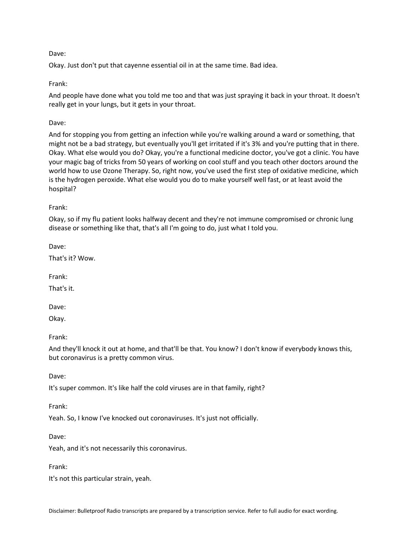Okay. Just don't put that cayenne essential oil in at the same time. Bad idea.

## Frank:

And people have done what you told me too and that was just spraying it back in your throat. It doesn't really get in your lungs, but it gets in your throat.

## Dave:

And for stopping you from getting an infection while you're walking around a ward or something, that might not be a bad strategy, but eventually you'll get irritated if it's 3% and you're putting that in there. Okay. What else would you do? Okay, you're a functional medicine doctor, you've got a clinic. You have your magic bag of tricks from 50 years of working on cool stuff and you teach other doctors around the world how to use Ozone Therapy. So, right now, you've used the first step of oxidative medicine, which is the hydrogen peroxide. What else would you do to make yourself well fast, or at least avoid the hospital?

### Frank:

Okay, so if my flu patient looks halfway decent and they're not immune compromised or chronic lung disease or something like that, that's all I'm going to do, just what I told you.

Dave:

That's it? Wow.

Frank:

That's it.

Dave:

Okay.

Frank:

And they'll knock it out at home, and that'll be that. You know? I don't know if everybody knows this, but coronavirus is a pretty common virus.

Dave:

It's super common. It's like half the cold viruses are in that family, right?

Frank:

Yeah. So, I know I've knocked out coronaviruses. It's just not officially.

Dave:

Yeah, and it's not necessarily this coronavirus.

Frank:

It's not this particular strain, yeah.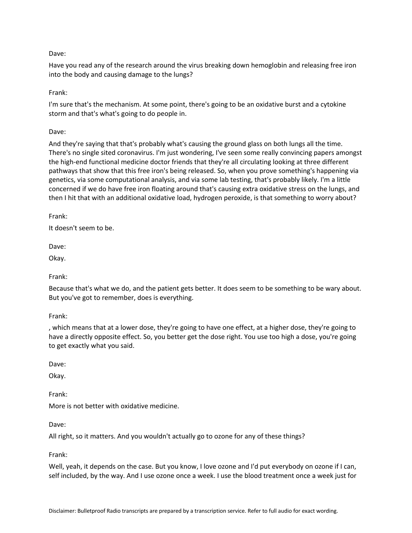Have you read any of the research around the virus breaking down hemoglobin and releasing free iron into the body and causing damage to the lungs?

Frank:

I'm sure that's the mechanism. At some point, there's going to be an oxidative burst and a cytokine storm and that's what's going to do people in.

Dave:

And they're saying that that's probably what's causing the ground glass on both lungs all the time. There's no single sited coronavirus. I'm just wondering, I've seen some really convincing papers amongst the high-end functional medicine doctor friends that they're all circulating looking at three different pathways that show that this free iron's being released. So, when you prove something's happening via genetics, via some computational analysis, and via some lab testing, that's probably likely. I'm a little concerned if we do have free iron floating around that's causing extra oxidative stress on the lungs, and then I hit that with an additional oxidative load, hydrogen peroxide, is that something to worry about?

Frank:

It doesn't seem to be.

Dave:

Okay.

Frank:

Because that's what we do, and the patient gets better. It does seem to be something to be wary about. But you've got to remember, does is everything.

Frank:

, which means that at a lower dose, they're going to have one effect, at a higher dose, they're going to have a directly opposite effect. So, you better get the dose right. You use too high a dose, you're going to get exactly what you said.

Dave:

Okay.

Frank:

More is not better with oxidative medicine.

Dave:

All right, so it matters. And you wouldn't actually go to ozone for any of these things?

Frank:

Well, yeah, it depends on the case. But you know, I love ozone and I'd put everybody on ozone if I can, self included, by the way. And I use ozone once a week. I use the blood treatment once a week just for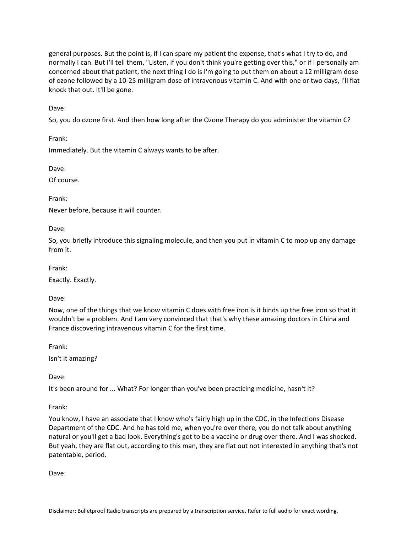general purposes. But the point is, if I can spare my patient the expense, that's what I try to do, and normally I can. But I'll tell them, "Listen, if you don't think you're getting over this," or if I personally am concerned about that patient, the next thing I do is I'm going to put them on about a 12 milligram dose of ozone followed by a 10-25 milligram dose of intravenous vitamin C. And with one or two days, I'll flat knock that out. It'll be gone.

Dave:

So, you do ozone first. And then how long after the Ozone Therapy do you administer the vitamin C?

Frank:

Immediately. But the vitamin C always wants to be after.

Dave:

Of course.

Frank:

Never before, because it will counter.

Dave:

So, you briefly introduce this signaling molecule, and then you put in vitamin C to mop up any damage from it.

Frank:

Exactly. Exactly.

Dave:

Now, one of the things that we know vitamin C does with free iron is it binds up the free iron so that it wouldn't be a problem. And I am very convinced that that's why these amazing doctors in China and France discovering intravenous vitamin C for the first time.

Frank:

Isn't it amazing?

Dave:

It's been around for ... What? For longer than you've been practicing medicine, hasn't it?

Frank:

You know, I have an associate that I know who's fairly high up in the CDC, in the Infections Disease Department of the CDC. And he has told me, when you're over there, you do not talk about anything natural or you'll get a bad look. Everything's got to be a vaccine or drug over there. And I was shocked. But yeah, they are flat out, according to this man, they are flat out not interested in anything that's not patentable, period.

Dave: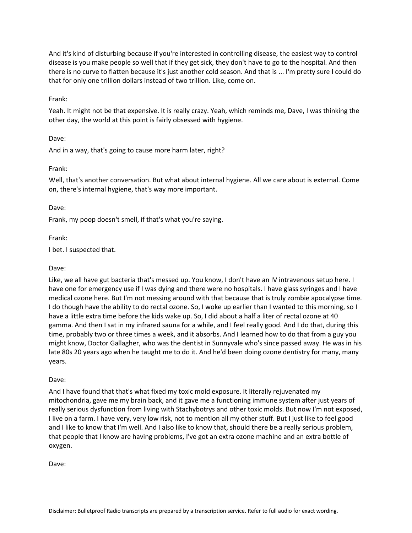And it's kind of disturbing because if you're interested in controlling disease, the easiest way to control disease is you make people so well that if they get sick, they don't have to go to the hospital. And then there is no curve to flatten because it's just another cold season. And that is ... I'm pretty sure I could do that for only one trillion dollars instead of two trillion. Like, come on.

#### Frank:

Yeah. It might not be that expensive. It is really crazy. Yeah, which reminds me, Dave, I was thinking the other day, the world at this point is fairly obsessed with hygiene.

#### Dave:

And in a way, that's going to cause more harm later, right?

#### Frank:

Well, that's another conversation. But what about internal hygiene. All we care about is external. Come on, there's internal hygiene, that's way more important.

#### Dave:

Frank, my poop doesn't smell, if that's what you're saying.

Frank:

I bet. I suspected that.

#### Dave:

Like, we all have gut bacteria that's messed up. You know, I don't have an IV intravenous setup here. I have one for emergency use if I was dying and there were no hospitals. I have glass syringes and I have medical ozone here. But I'm not messing around with that because that is truly zombie apocalypse time. I do though have the ability to do rectal ozone. So, I woke up earlier than I wanted to this morning, so I have a little extra time before the kids wake up. So, I did about a half a liter of rectal ozone at 40 gamma. And then I sat in my infrared sauna for a while, and I feel really good. And I do that, during this time, probably two or three times a week, and it absorbs. And I learned how to do that from a guy you might know, Doctor Gallagher, who was the dentist in Sunnyvale who's since passed away. He was in his late 80s 20 years ago when he taught me to do it. And he'd been doing ozone dentistry for many, many years.

#### Dave:

And I have found that that's what fixed my toxic mold exposure. It literally rejuvenated my mitochondria, gave me my brain back, and it gave me a functioning immune system after just years of really serious dysfunction from living with Stachybotrys and other toxic molds. But now I'm not exposed, I live on a farm. I have very, very low risk, not to mention all my other stuff. But I just like to feel good and I like to know that I'm well. And I also like to know that, should there be a really serious problem, that people that I know are having problems, I've got an extra ozone machine and an extra bottle of oxygen.

Dave: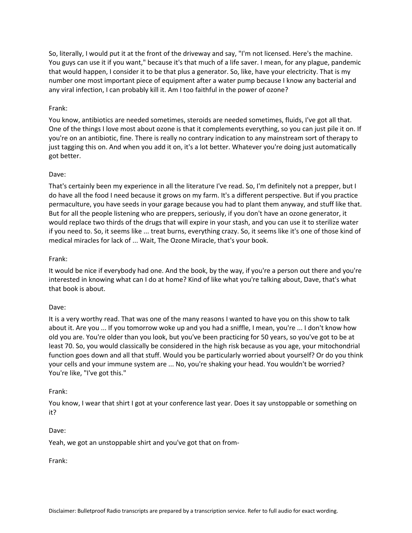So, literally, I would put it at the front of the driveway and say, "I'm not licensed. Here's the machine. You guys can use it if you want," because it's that much of a life saver. I mean, for any plague, pandemic that would happen, I consider it to be that plus a generator. So, like, have your electricity. That is my number one most important piece of equipment after a water pump because I know any bacterial and any viral infection, I can probably kill it. Am I too faithful in the power of ozone?

#### Frank:

You know, antibiotics are needed sometimes, steroids are needed sometimes, fluids, I've got all that. One of the things I love most about ozone is that it complements everything, so you can just pile it on. If you're on an antibiotic, fine. There is really no contrary indication to any mainstream sort of therapy to just tagging this on. And when you add it on, it's a lot better. Whatever you're doing just automatically got better.

#### Dave:

That's certainly been my experience in all the literature I've read. So, I'm definitely not a prepper, but I do have all the food I need because it grows on my farm. It's a different perspective. But if you practice permaculture, you have seeds in your garage because you had to plant them anyway, and stuff like that. But for all the people listening who are preppers, seriously, if you don't have an ozone generator, it would replace two thirds of the drugs that will expire in your stash, and you can use it to sterilize water if you need to. So, it seems like ... treat burns, everything crazy. So, it seems like it's one of those kind of medical miracles for lack of ... Wait, The Ozone Miracle, that's your book.

#### Frank:

It would be nice if everybody had one. And the book, by the way, if you're a person out there and you're interested in knowing what can I do at home? Kind of like what you're talking about, Dave, that's what that book is about.

#### Dave:

It is a very worthy read. That was one of the many reasons I wanted to have you on this show to talk about it. Are you ... If you tomorrow woke up and you had a sniffle, I mean, you're ... I don't know how old you are. You're older than you look, but you've been practicing for 50 years, so you've got to be at least 70. So, you would classically be considered in the high risk because as you age, your mitochondrial function goes down and all that stuff. Would you be particularly worried about yourself? Or do you think your cells and your immune system are ... No, you're shaking your head. You wouldn't be worried? You're like, "I've got this."

#### Frank:

You know, I wear that shirt I got at your conference last year. Does it say unstoppable or something on it?

#### Dave:

Yeah, we got an unstoppable shirt and you've got that on from-

Frank: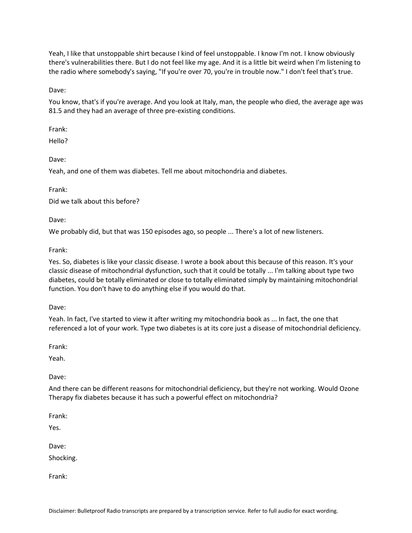Yeah, I like that unstoppable shirt because I kind of feel unstoppable. I know I'm not. I know obviously there's vulnerabilities there. But I do not feel like my age. And it is a little bit weird when I'm listening to the radio where somebody's saying, "If you're over 70, you're in trouble now." I don't feel that's true.

Dave:

You know, that's if you're average. And you look at Italy, man, the people who died, the average age was 81.5 and they had an average of three pre-existing conditions.

Frank:

Hello?

Dave:

Yeah, and one of them was diabetes. Tell me about mitochondria and diabetes.

Frank:

Did we talk about this before?

Dave:

We probably did, but that was 150 episodes ago, so people ... There's a lot of new listeners.

Frank:

Yes. So, diabetes is like your classic disease. I wrote a book about this because of this reason. It's your classic disease of mitochondrial dysfunction, such that it could be totally ... I'm talking about type two diabetes, could be totally eliminated or close to totally eliminated simply by maintaining mitochondrial function. You don't have to do anything else if you would do that.

Dave:

Yeah. In fact, I've started to view it after writing my mitochondria book as ... In fact, the one that referenced a lot of your work. Type two diabetes is at its core just a disease of mitochondrial deficiency.

Frank:

Yeah.

Dave:

And there can be different reasons for mitochondrial deficiency, but they're not working. Would Ozone Therapy fix diabetes because it has such a powerful effect on mitochondria?

Frank:

Yes.

Dave:

Shocking.

Frank: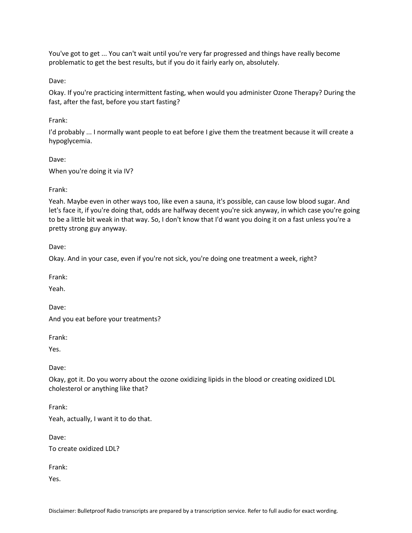You've got to get ... You can't wait until you're very far progressed and things have really become problematic to get the best results, but if you do it fairly early on, absolutely.

Dave:

Okay. If you're practicing intermittent fasting, when would you administer Ozone Therapy? During the fast, after the fast, before you start fasting?

Frank:

I'd probably ... I normally want people to eat before I give them the treatment because it will create a hypoglycemia.

Dave:

When you're doing it via IV?

Frank:

Yeah. Maybe even in other ways too, like even a sauna, it's possible, can cause low blood sugar. And let's face it, if you're doing that, odds are halfway decent you're sick anyway, in which case you're going to be a little bit weak in that way. So, I don't know that I'd want you doing it on a fast unless you're a pretty strong guy anyway.

Dave:

Okay. And in your case, even if you're not sick, you're doing one treatment a week, right?

Frank:

Yeah.

Dave:

And you eat before your treatments?

Frank:

Yes.

Dave:

Okay, got it. Do you worry about the ozone oxidizing lipids in the blood or creating oxidized LDL cholesterol or anything like that?

Frank:

Yeah, actually, I want it to do that.

Dave:

To create oxidized LDL?

Frank:

Yes.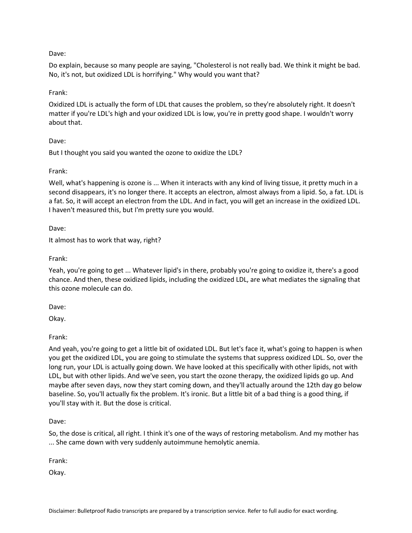Do explain, because so many people are saying, "Cholesterol is not really bad. We think it might be bad. No, it's not, but oxidized LDL is horrifying." Why would you want that?

### Frank:

Oxidized LDL is actually the form of LDL that causes the problem, so they're absolutely right. It doesn't matter if you're LDL's high and your oxidized LDL is low, you're in pretty good shape. I wouldn't worry about that.

### Dave:

But I thought you said you wanted the ozone to oxidize the LDL?

### Frank:

Well, what's happening is ozone is ... When it interacts with any kind of living tissue, it pretty much in a second disappears, it's no longer there. It accepts an electron, almost always from a lipid. So, a fat. LDL is a fat. So, it will accept an electron from the LDL. And in fact, you will get an increase in the oxidized LDL. I haven't measured this, but I'm pretty sure you would.

Dave:

It almost has to work that way, right?

Frank:

Yeah, you're going to get ... Whatever lipid's in there, probably you're going to oxidize it, there's a good chance. And then, these oxidized lipids, including the oxidized LDL, are what mediates the signaling that this ozone molecule can do.

Dave:

Okay.

Frank:

And yeah, you're going to get a little bit of oxidated LDL. But let's face it, what's going to happen is when you get the oxidized LDL, you are going to stimulate the systems that suppress oxidized LDL. So, over the long run, your LDL is actually going down. We have looked at this specifically with other lipids, not with LDL, but with other lipids. And we've seen, you start the ozone therapy, the oxidized lipids go up. And maybe after seven days, now they start coming down, and they'll actually around the 12th day go below baseline. So, you'll actually fix the problem. It's ironic. But a little bit of a bad thing is a good thing, if you'll stay with it. But the dose is critical.

Dave:

So, the dose is critical, all right. I think it's one of the ways of restoring metabolism. And my mother has ... She came down with very suddenly autoimmune hemolytic anemia.

Frank:

Okay.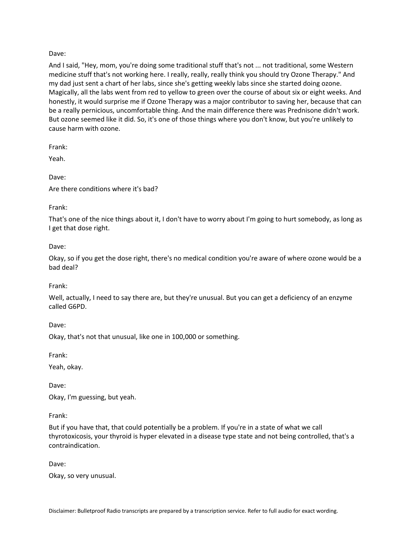And I said, "Hey, mom, you're doing some traditional stuff that's not ... not traditional, some Western medicine stuff that's not working here. I really, really, really think you should try Ozone Therapy." And my dad just sent a chart of her labs, since she's getting weekly labs since she started doing ozone. Magically, all the labs went from red to yellow to green over the course of about six or eight weeks. And honestly, it would surprise me if Ozone Therapy was a major contributor to saving her, because that can be a really pernicious, uncomfortable thing. And the main difference there was Prednisone didn't work. But ozone seemed like it did. So, it's one of those things where you don't know, but you're unlikely to cause harm with ozone.

Frank:

Yeah.

Dave:

Are there conditions where it's bad?

Frank:

That's one of the nice things about it, I don't have to worry about I'm going to hurt somebody, as long as I get that dose right.

Dave:

Okay, so if you get the dose right, there's no medical condition you're aware of where ozone would be a bad deal?

Frank:

Well, actually, I need to say there are, but they're unusual. But you can get a deficiency of an enzyme called G6PD.

Dave:

Okay, that's not that unusual, like one in 100,000 or something.

Frank:

Yeah, okay.

Dave:

Okay, I'm guessing, but yeah.

Frank:

But if you have that, that could potentially be a problem. If you're in a state of what we call thyrotoxicosis, your thyroid is hyper elevated in a disease type state and not being controlled, that's a contraindication.

Dave:

Okay, so very unusual.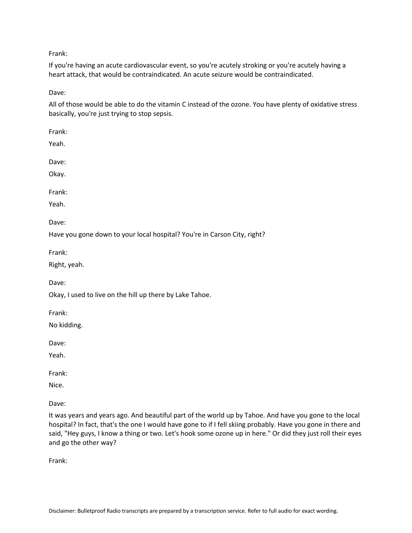Frank:

If you're having an acute cardiovascular event, so you're acutely stroking or you're acutely having a heart attack, that would be contraindicated. An acute seizure would be contraindicated.

Dave:

All of those would be able to do the vitamin C instead of the ozone. You have plenty of oxidative stress basically, you're just trying to stop sepsis.

Frank:

Yeah.

Dave:

Okay.

Frank:

Yeah.

Dave:

Have you gone down to your local hospital? You're in Carson City, right?

Frank:

Right, yeah.

Dave:

Okay, I used to live on the hill up there by Lake Tahoe.

Frank:

No kidding.

Dave:

Yeah.

Frank:

Nice.

Dave:

It was years and years ago. And beautiful part of the world up by Tahoe. And have you gone to the local hospital? In fact, that's the one I would have gone to if I fell skiing probably. Have you gone in there and said, "Hey guys, I know a thing or two. Let's hook some ozone up in here." Or did they just roll their eyes and go the other way?

Frank: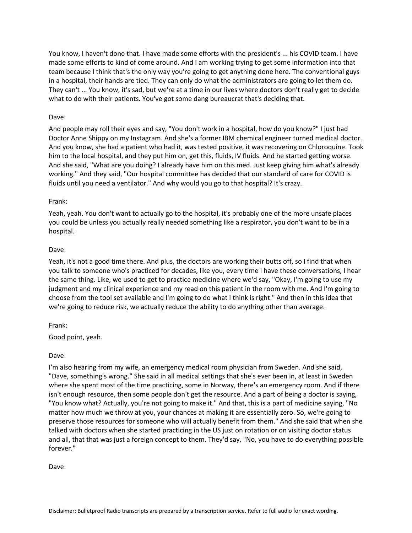You know, I haven't done that. I have made some efforts with the president's ... his COVID team. I have made some efforts to kind of come around. And I am working trying to get some information into that team because I think that's the only way you're going to get anything done here. The conventional guys in a hospital, their hands are tied. They can only do what the administrators are going to let them do. They can't ... You know, it's sad, but we're at a time in our lives where doctors don't really get to decide what to do with their patients. You've got some dang bureaucrat that's deciding that.

### Dave:

And people may roll their eyes and say, "You don't work in a hospital, how do you know?" I just had Doctor Anne Shippy on my Instagram. And she's a former IBM chemical engineer turned medical doctor. And you know, she had a patient who had it, was tested positive, it was recovering on Chloroquine. Took him to the local hospital, and they put him on, get this, fluids, IV fluids. And he started getting worse. And she said, "What are you doing? I already have him on this med. Just keep giving him what's already working." And they said, "Our hospital committee has decided that our standard of care for COVID is fluids until you need a ventilator." And why would you go to that hospital? It's crazy.

### Frank:

Yeah, yeah. You don't want to actually go to the hospital, it's probably one of the more unsafe places you could be unless you actually really needed something like a respirator, you don't want to be in a hospital.

### Dave:

Yeah, it's not a good time there. And plus, the doctors are working their butts off, so I find that when you talk to someone who's practiced for decades, like you, every time I have these conversations, I hear the same thing. Like, we used to get to practice medicine where we'd say, "Okay, I'm going to use my judgment and my clinical experience and my read on this patient in the room with me. And I'm going to choose from the tool set available and I'm going to do what I think is right." And then in this idea that we're going to reduce risk, we actually reduce the ability to do anything other than average.

# Frank:

Good point, yeah.

# Dave:

I'm also hearing from my wife, an emergency medical room physician from Sweden. And she said, "Dave, something's wrong." She said in all medical settings that she's ever been in, at least in Sweden where she spent most of the time practicing, some in Norway, there's an emergency room. And if there isn't enough resource, then some people don't get the resource. And a part of being a doctor is saying, "You know what? Actually, you're not going to make it." And that, this is a part of medicine saying, "No matter how much we throw at you, your chances at making it are essentially zero. So, we're going to preserve those resources for someone who will actually benefit from them." And she said that when she talked with doctors when she started practicing in the US just on rotation or on visiting doctor status and all, that that was just a foreign concept to them. They'd say, "No, you have to do everything possible forever."

Dave: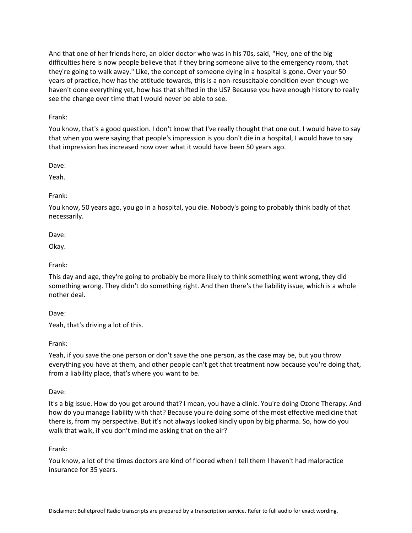And that one of her friends here, an older doctor who was in his 70s, said, "Hey, one of the big difficulties here is now people believe that if they bring someone alive to the emergency room, that they're going to walk away." Like, the concept of someone dying in a hospital is gone. Over your 50 years of practice, how has the attitude towards, this is a non-resuscitable condition even though we haven't done everything yet, how has that shifted in the US? Because you have enough history to really see the change over time that I would never be able to see.

Frank:

You know, that's a good question. I don't know that I've really thought that one out. I would have to say that when you were saying that people's impression is you don't die in a hospital, I would have to say that impression has increased now over what it would have been 50 years ago.

Dave:

Yeah.

### Frank:

You know, 50 years ago, you go in a hospital, you die. Nobody's going to probably think badly of that necessarily.

Dave:

Okay.

### Frank:

This day and age, they're going to probably be more likely to think something went wrong, they did something wrong. They didn't do something right. And then there's the liability issue, which is a whole nother deal.

Dave:

Yeah, that's driving a lot of this.

Frank:

Yeah, if you save the one person or don't save the one person, as the case may be, but you throw everything you have at them, and other people can't get that treatment now because you're doing that, from a liability place, that's where you want to be.

Dave:

It's a big issue. How do you get around that? I mean, you have a clinic. You're doing Ozone Therapy. And how do you manage liability with that? Because you're doing some of the most effective medicine that there is, from my perspective. But it's not always looked kindly upon by big pharma. So, how do you walk that walk, if you don't mind me asking that on the air?

### Frank:

You know, a lot of the times doctors are kind of floored when I tell them I haven't had malpractice insurance for 35 years.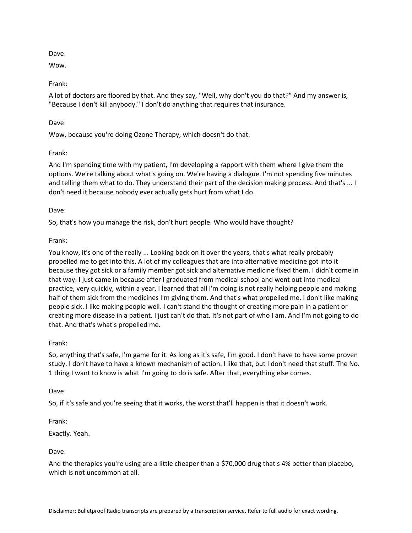Wow.

# Frank:

A lot of doctors are floored by that. And they say, "Well, why don't you do that?" And my answer is, "Because I don't kill anybody." I don't do anything that requires that insurance.

# Dave:

Wow, because you're doing Ozone Therapy, which doesn't do that.

# Frank:

And I'm spending time with my patient, I'm developing a rapport with them where I give them the options. We're talking about what's going on. We're having a dialogue. I'm not spending five minutes and telling them what to do. They understand their part of the decision making process. And that's ... I don't need it because nobody ever actually gets hurt from what I do.

# Dave:

So, that's how you manage the risk, don't hurt people. Who would have thought?

# Frank:

You know, it's one of the really ... Looking back on it over the years, that's what really probably propelled me to get into this. A lot of my colleagues that are into alternative medicine got into it because they got sick or a family member got sick and alternative medicine fixed them. I didn't come in that way. I just came in because after I graduated from medical school and went out into medical practice, very quickly, within a year, I learned that all I'm doing is not really helping people and making half of them sick from the medicines I'm giving them. And that's what propelled me. I don't like making people sick. I like making people well. I can't stand the thought of creating more pain in a patient or creating more disease in a patient. I just can't do that. It's not part of who I am. And I'm not going to do that. And that's what's propelled me.

# Frank:

So, anything that's safe, I'm game for it. As long as it's safe, I'm good. I don't have to have some proven study. I don't have to have a known mechanism of action. I like that, but I don't need that stuff. The No. 1 thing I want to know is what I'm going to do is safe. After that, everything else comes.

# Dave:

So, if it's safe and you're seeing that it works, the worst that'll happen is that it doesn't work.

Frank:

Exactly. Yeah.

Dave:

And the therapies you're using are a little cheaper than a \$70,000 drug that's 4% better than placebo, which is not uncommon at all.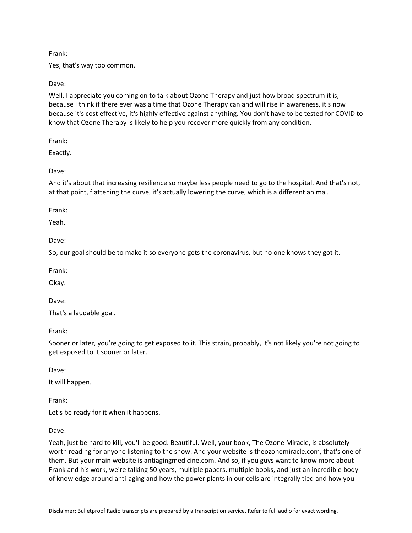### Frank:

Yes, that's way too common.

### Dave:

Well, I appreciate you coming on to talk about Ozone Therapy and just how broad spectrum it is, because I think if there ever was a time that Ozone Therapy can and will rise in awareness, it's now because it's cost effective, it's highly effective against anything. You don't have to be tested for COVID to know that Ozone Therapy is likely to help you recover more quickly from any condition.

Frank:

Exactly.

### Dave:

And it's about that increasing resilience so maybe less people need to go to the hospital. And that's not, at that point, flattening the curve, it's actually lowering the curve, which is a different animal.

Frank:

Yeah.

Dave:

So, our goal should be to make it so everyone gets the coronavirus, but no one knows they got it.

Frank:

Okay.

Dave:

That's a laudable goal.

Frank:

Sooner or later, you're going to get exposed to it. This strain, probably, it's not likely you're not going to get exposed to it sooner or later.

Dave:

It will happen.

Frank:

Let's be ready for it when it happens.

Dave:

Yeah, just be hard to kill, you'll be good. Beautiful. Well, your book, The Ozone Miracle, is absolutely worth reading for anyone listening to the show. And your website is theozonemiracle.com, that's one of them. But your main website is antiagingmedicine.com. And so, if you guys want to know more about Frank and his work, we're talking 50 years, multiple papers, multiple books, and just an incredible body of knowledge around anti-aging and how the power plants in our cells are integrally tied and how you